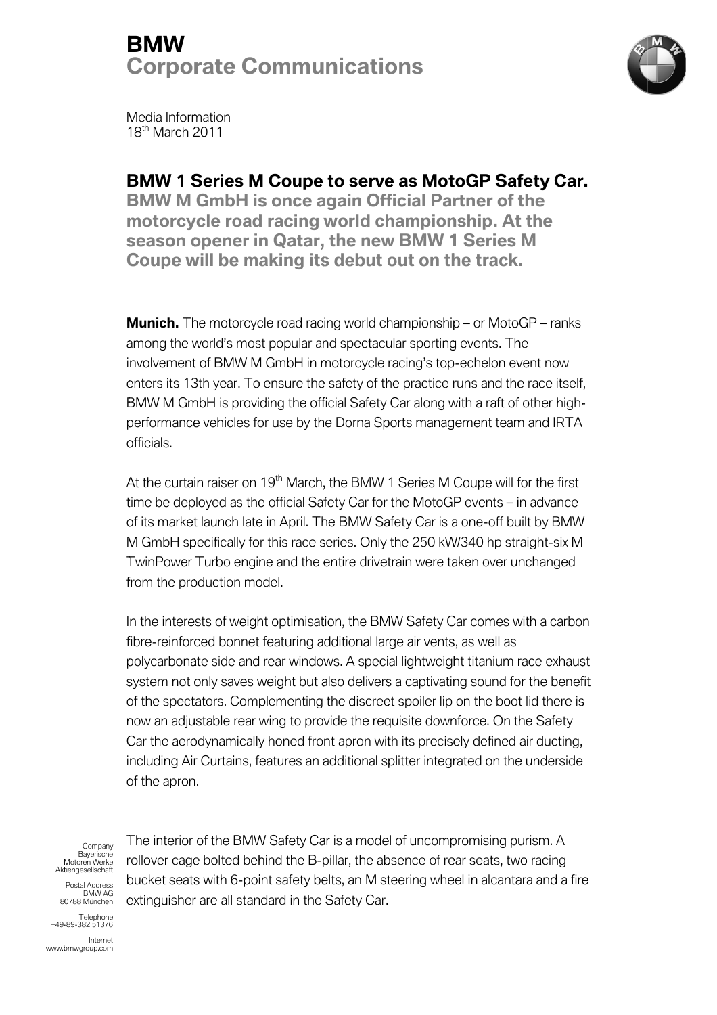# BMW Corporate Communications



Media Information 18<sup>th</sup> March 2011

### BMW 1 Series M Coupe

BMW M GmbH is once again Official Partner of the motorcycle road racing world championship. At the season opener in Qatar, the new BMW 1 Series M Coupe will be making its debut out on the track.

Munich. The motorcycle road racing world championship - or MotoGP among the world's most popular and spectacular sporting events. The involvement of BMW M GmbH in motorcycle racing's top-echelon event now enters its 13th year. To ensure the safety of the practice runs and the race itself, involvement of BMW M GmbH in motorcycle racing's top-echelon event now<br>enters its 13th year. To ensure the safety of the practice runs and the race itself,<br>BMW M GmbH is providing the official Safety Car along with a raft performance vehicles for use by the Dorna Sports management team and IRTA officials. npionship – or MotoGP – ranks<br>
sporting events. The<br>
ing's top-echelon event now<br>
oractice runs and the race itself,<br>
ir along with a raft of other high-<br>
s management team and IRTA<br>
ieries M Coupe will for the first<br>
exer

At the curtain raiser on 19<sup>th</sup> March, the BMW 1 Series M Coupe will for the first time be deployed as the official Safety Car for the MotoGP events – in advance of its market launch late in April. The BMW Safety Car is a one-off built by BMW of its market launch late in April. The BMW Safety Car is a one-off built by BMW<br>M GmbH specifically for this race series. Only the 250 kW/340 hp straight-six M TwinPower Turbo engine and the entire drivetrain were taken over unchanged from the production model.

In the interests of weight optimisation, the BMW Safety Car comes with a carbon In the interests of weight optimisation, the BMW Safety Car comes with a<br>fibre-reinforced bonnet featuring additional large air vents, as well as polycarbonate side and rear windows. A special lightweight titanium race exhaust system not only saves weight but also delivers a captivating sound for the benefit of the spectators. Complementing the discreet spoiler lip on the boot lid there is now an adjustable rear wing to provide the requisite downforce. On the Safety Car the aerodynamically honed front apron with its precisely defined air ducting, including Air Curtains, features an additional splitter integrated on the underside of the apron. including Air Curtains, features an additional splitter integrated on the undersi<br>of the apron.<br>The interior of the BMW Safety Car is a model of uncompromising purism. A reinforced bonnet featuring additional large air vents, as well as<br>arbonate side and rear windows. A special lightweight titanium race exhaust<br>m not only saves weight but also delivers a captivating sound for the benefit<br>e **bs M Coupe to serve as MotoGP Safety Car.**<br>To alo His once again Official Parther or of the<br>morad racing world championship. At the<br>perincal racing world championship - or MotoGP – ranks<br>most popular and spectacular sport **1 Series M Coupe to serve as MotoGP Safety M**<br>
M GmbH is once again Official Partner of the<br>
my Cycle road racing world championship - or MotoGP - road partner of the<br>
m opener in Qatar, the new BMW 1 Series M<br>
arvill be system not only saves weight but also delivers a captivating sound for the bene<br>of the spectators. Complementing the discreet spoiler lip on the boot lid there<br>now an adjustable rear wing to provide the requisite downforce

Motoren Werke Bayerische Aktiengesellscha Aktiengesellschaft **Company** Postal Address

80788 München BMW AG

rollover cage bolted behind the B B-pillar, the absence of rear seats, two racing bucket seats with 6-point safety belts, an M steering wheel in alcantara and a fire extinguisher are all standard in the Safety Car.

+49- Telephone -89-382 51376

www.bmwgroup.com Internet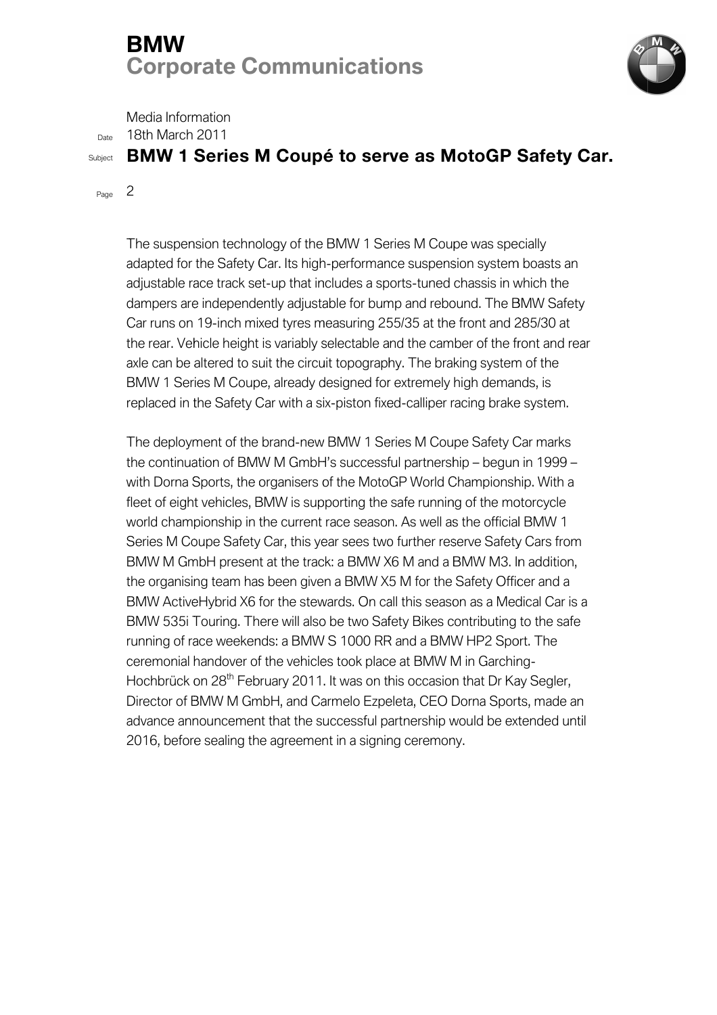# BMW Corporate Communications



Media Information

<sub>Date</sub> 18th March 2011

### Subject BMW 1 Series M Coupé to serve as MotoGP Safety Car.

 $P_{\text{aq}}$  2

The suspension technology of the BMW 1 Series M Coupe was specially adapted for the Safety Car. Its high-performance suspension system boasts an adapted for the Safety Car. Its high-performance suspension system boasts a<br>adjustable race track set-up that includes a sports-tuned chassis in which the dampers are independently adjustable for bump and rebound. The BMW Safety Car runs on 19 19-inch mixed tyres measuring 255/35 at the front and 285/30 at the rear. Vehicle height is variably selectable and the camber of the front and rear axle can be altered to suit the circuit topography. The braking system of the BMW 1 Series M Coupe replaced in the Safety Car with a six-piston fixed-calliper racing brake system. inch mixed tyres measuring 255/35 at the front and 285/30<br>• height is variably selectable and the camber of the front ar<br>• ed to suit the circuit topography. The braking system of the<br>M Coupe, already designed for extremel -up that includes a sports-tuned chassis in which the<br>tily adjustable for bump and rebound. The BMW Safe<br>ad tyres measuring 255/35 at the front and 285/30 at<br>s variably selectable and the camber of the front and<br>t the circ

The deployment of the brand-new BMW 1 Series M Coupe Safety Car marks replaced in the Safety Car with a six-piston fixed-calliper racing brake system.<br>The deployment of the brand-new BMW 1 Series M Coupe Safety Car marks<br>the continuation of BMW M GmbH's successful partnership – begun in 1999 with Dorna Sports, the organisers of the MotoGP World Championship. With a fleet of eight vehicles, BMW is supporting the safe running of the motorcycle world championship in the current race season. As well as the official BMW 1 Series M Coupe Safety Car, this year sees two further reserve Safety Cars from BMW M GmbH present at the track: a BMW X6 M and a BMW M3. In addition, the organising team has been given a BMW X5 M for the Safety Officer and a BMW ActiveHybrid X6 for the stewards. On call this season as a Medical Car is a BMW 535i Touring. There will also be two Safety Bikes contributing to the safe running of race weekends: a BMW S 1000 RR and a BMW HP2 S Sport. The running of race weekends: a BMW S 1000 RR and a BMW HP2 Sport. <sup>-</sup><br>ceremonial handover of the vehicles took place at BMW M in Garching-Hochbrück on 28<sup>th</sup> February 2011. It was on this occasion that Dr Kay Segler, Director of BMW M GmbH, and Carmelo Ezpeleta, CEO Dorna Sports, made an advance announcement that the successful partnership would be extended until 2016, before sealing the agreement in a signing ceremony. new BMW 1 Series M Coupe Safety Car marks<br>mbH's successful partnership – begun in 1999<br>ers of the MotoGP World Championship. With a<br>supporting the safe running of the motorcycle<br>rent race season. As well as the official BM with Dorna Sports, the organisers of the MotoGP World Championship. With a<br>fleet of eight vehicles, BMW is supporting the safe running of the motorcycle<br>world championship in the current race season. As well as the officia